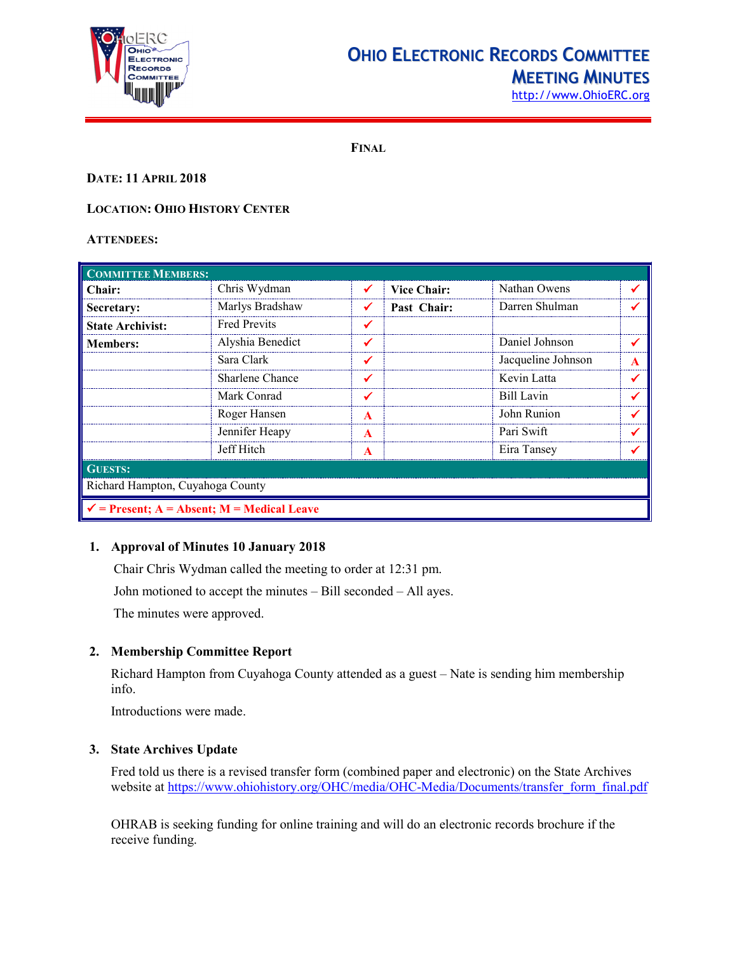

# **OHIO ELECTRONIC RECORDS COMMITTEE MEETING MINUTES**

[http://www.OhioERC.org](http://www.ohioerc.org/)

**FINAL**

# **DATE: 11 APRIL 2018**

# **LOCATION: OHIO HISTORY CENTER**

#### **ATTENDEES:**

| <b>COMMITTEE MEMBERS:</b>                             |                     |                  |                    |                    |   |  |
|-------------------------------------------------------|---------------------|------------------|--------------------|--------------------|---|--|
| Chair:                                                | Chris Wydman        |                  | <b>Vice Chair:</b> | Nathan Owens       |   |  |
| Secretary:                                            | Marlys Bradshaw     |                  | Past Chair:        | Darren Shulman     |   |  |
| <b>State Archivist:</b>                               | <b>Fred Previts</b> |                  |                    |                    |   |  |
| <b>Members:</b>                                       | Alyshia Benedict    |                  |                    | Daniel Johnson     |   |  |
|                                                       | Sara Clark          |                  |                    | Jacqueline Johnson | A |  |
|                                                       | Sharlene Chance     |                  |                    | Kevin Latta        |   |  |
|                                                       | Mark Conrad         |                  |                    | Bill Lavin         |   |  |
|                                                       | Roger Hansen        | A                |                    | John Runion        |   |  |
|                                                       | Jennifer Heapy      | A                |                    | Pari Swift         |   |  |
|                                                       | Jeff Hitch          | $\blacktriangle$ |                    | Eira Tansey        |   |  |
| <b>GUESTS:</b>                                        |                     |                  |                    |                    |   |  |
| Richard Hampton, Cuyahoga County                      |                     |                  |                    |                    |   |  |
| $\checkmark$ = Present; A = Absent; M = Medical Leave |                     |                  |                    |                    |   |  |

# **1. Approval of Minutes 10 January 2018**

Chair Chris Wydman called the meeting to order at 12:31 pm.

John motioned to accept the minutes – Bill seconded – All ayes.

The minutes were approved.

# **2. Membership Committee Report**

Richard Hampton from Cuyahoga County attended as a guest – Nate is sending him membership info.

Introductions were made.

#### **3. State Archives Update**

Fred told us there is a revised transfer form (combined paper and electronic) on the State Archives website at [https://www.ohiohistory.org/OHC/media/OHC-Media/Documents/transfer\\_form\\_final.pdf](https://www.ohiohistory.org/OHC/media/OHC-Media/Documents/transfer_form_final.pdf)

OHRAB is seeking funding for online training and will do an electronic records brochure if the receive funding.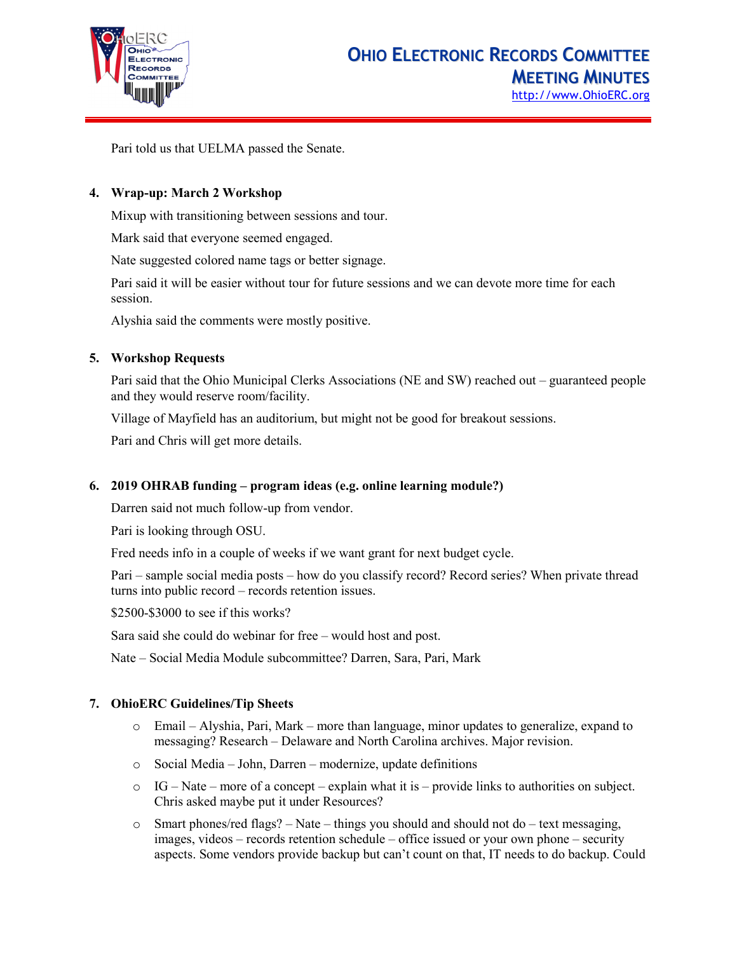

Pari told us that UELMA passed the Senate.

#### **4. Wrap-up: March 2 Workshop**

Mixup with transitioning between sessions and tour.

Mark said that everyone seemed engaged.

Nate suggested colored name tags or better signage.

Pari said it will be easier without tour for future sessions and we can devote more time for each session.

Alyshia said the comments were mostly positive.

#### **5. Workshop Requests**

Pari said that the Ohio Municipal Clerks Associations (NE and SW) reached out – guaranteed people and they would reserve room/facility.

Village of Mayfield has an auditorium, but might not be good for breakout sessions.

Pari and Chris will get more details.

#### **6. 2019 OHRAB funding – program ideas (e.g. online learning module?)**

Darren said not much follow-up from vendor.

Pari is looking through OSU.

Fred needs info in a couple of weeks if we want grant for next budget cycle.

Pari – sample social media posts – how do you classify record? Record series? When private thread turns into public record – records retention issues.

\$2500-\$3000 to see if this works?

Sara said she could do webinar for free – would host and post.

Nate – Social Media Module subcommittee? Darren, Sara, Pari, Mark

#### **7. OhioERC Guidelines/Tip Sheets**

- o Email Alyshia, Pari, Mark more than language, minor updates to generalize, expand to messaging? Research – Delaware and North Carolina archives. Major revision.
- o Social Media John, Darren modernize, update definitions
- o IG Nate more of a concept explain what it is provide links to authorities on subject. Chris asked maybe put it under Resources?
- $\circ$  Smart phones/red flags? Nate things you should and should not do text messaging, images, videos – records retention schedule – office issued or your own phone – security aspects. Some vendors provide backup but can't count on that, IT needs to do backup. Could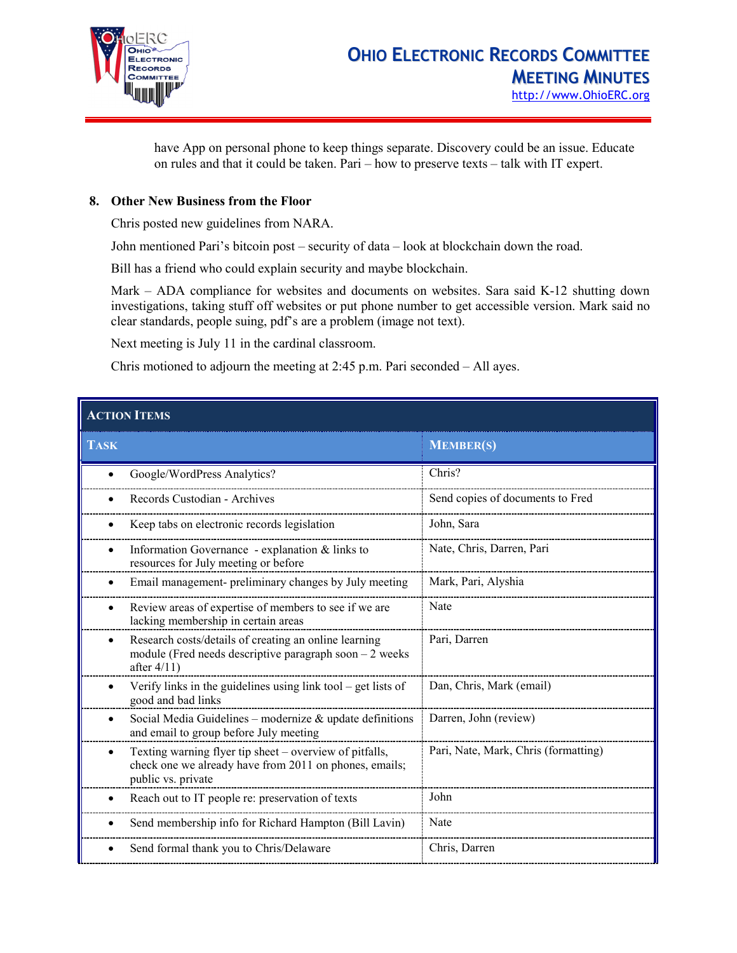

have App on personal phone to keep things separate. Discovery could be an issue. Educate on rules and that it could be taken. Pari – how to preserve texts – talk with IT expert.

### **8. Other New Business from the Floor**

Chris posted new guidelines from NARA.

John mentioned Pari's bitcoin post – security of data – look at blockchain down the road.

Bill has a friend who could explain security and maybe blockchain.

Mark – ADA compliance for websites and documents on websites. Sara said K-12 shutting down investigations, taking stuff off websites or put phone number to get accessible version. Mark said no clear standards, people suing, pdf's are a problem (image not text).

Next meeting is July 11 in the cardinal classroom.

Chris motioned to adjourn the meeting at 2:45 p.m. Pari seconded – All ayes.

| <b>ACTION ITEMS</b>                                                                                                                     |                                      |  |  |  |
|-----------------------------------------------------------------------------------------------------------------------------------------|--------------------------------------|--|--|--|
| <b>TASK</b>                                                                                                                             | <b>MEMBER(S)</b>                     |  |  |  |
| Google/WordPress Analytics?                                                                                                             | Chris?                               |  |  |  |
| Records Custodian - Archives                                                                                                            | Send copies of documents to Fred     |  |  |  |
| Keep tabs on electronic records legislation                                                                                             | John, Sara                           |  |  |  |
| Information Governance - explanation & links to<br>$\bullet$<br>resources for July meeting or before                                    | Nate, Chris, Darren, Pari            |  |  |  |
| Email management- preliminary changes by July meeting                                                                                   | Mark, Pari, Alyshia                  |  |  |  |
| Review areas of expertise of members to see if we are<br>٠<br>lacking membership in certain areas                                       | Nate                                 |  |  |  |
| Research costs/details of creating an online learning<br>module (Fred needs descriptive paragraph soon $-2$ weeks<br>after $4/11$ )     | Pari, Darren                         |  |  |  |
| Verify links in the guidelines using link tool $-$ get lists of<br>$\bullet$<br>good and bad links                                      | Dan, Chris, Mark (email)             |  |  |  |
| Social Media Guidelines - modernize $&$ update definitions<br>٠<br>and email to group before July meeting                               | Darren, John (review)                |  |  |  |
| Texting warning flyer tip sheet – overview of pitfalls,<br>check one we already have from 2011 on phones, emails;<br>public vs. private | Pari, Nate, Mark, Chris (formatting) |  |  |  |
| Reach out to IT people re: preservation of texts                                                                                        | John                                 |  |  |  |
| Send membership info for Richard Hampton (Bill Lavin)                                                                                   | Nate                                 |  |  |  |
| Send formal thank you to Chris/Delaware                                                                                                 | Chris, Darren                        |  |  |  |